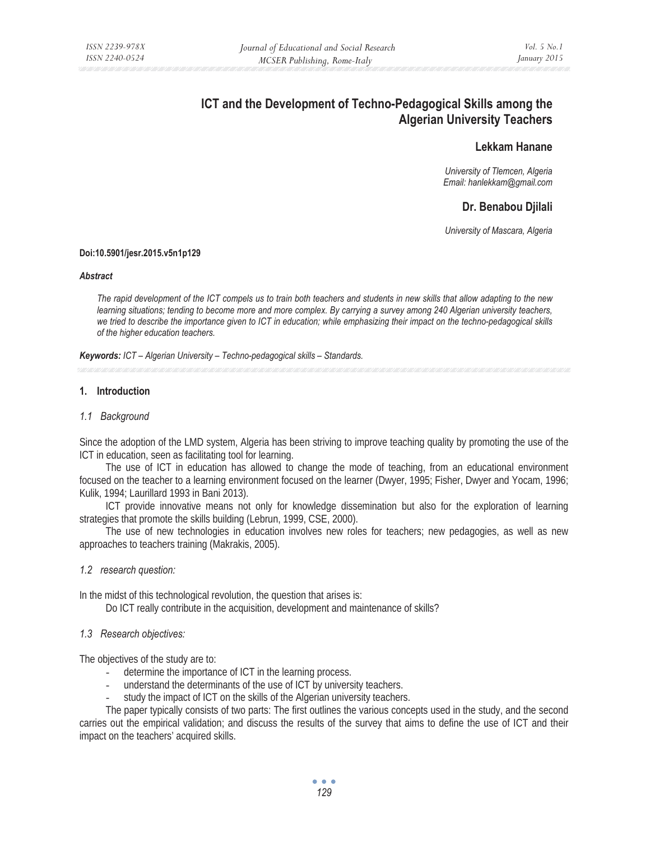# **ICT and the Development of Techno-Pedagogical Skills among the Algerian University Teachers**

# **Lekkam Hanane**

*University of Tlemcen, Algeria Email: hanlekkam@gmail.com* 

# **Dr. Benabou Djilali**

*University of Mascara, Algeria* 

#### **Doi:10.5901/jesr.2015.v5n1p129**

#### *Abstract*

*The rapid development of the ICT compels us to train both teachers and students in new skills that allow adapting to the new*  learning situations; tending to become more and more complex. By carrying a survey among 240 Algerian university teachers, *we tried to describe the importance given to ICT in education; while emphasizing their impact on the techno-pedagogical skills of the higher education teachers.* 

*Keywords: ICT – Algerian University – Techno-pedagogical skills – Standards.* 

## **1. Introduction**

## *1.1 Background*

Since the adoption of the LMD system, Algeria has been striving to improve teaching quality by promoting the use of the ICT in education, seen as facilitating tool for learning.

The use of ICT in education has allowed to change the mode of teaching, from an educational environment focused on the teacher to a learning environment focused on the learner (Dwyer, 1995; Fisher, Dwyer and Yocam, 1996; Kulik, 1994; Laurillard 1993 in Bani 2013).

ICT provide innovative means not only for knowledge dissemination but also for the exploration of learning strategies that promote the skills building (Lebrun, 1999, CSE, 2000).

The use of new technologies in education involves new roles for teachers; new pedagogies, as well as new approaches to teachers training (Makrakis, 2005).

*1.2 research question:* 

In the midst of this technological revolution, the question that arises is:

Do ICT really contribute in the acquisition, development and maintenance of skills?

*1.3 Research objectives:* 

The objectives of the study are to:

- determine the importance of ICT in the learning process.
- understand the determinants of the use of ICT by university teachers.
- study the impact of ICT on the skills of the Algerian university teachers.

The paper typically consists of two parts: The first outlines the various concepts used in the study, and the second carries out the empirical validation; and discuss the results of the survey that aims to define the use of ICT and their impact on the teachers' acquired skills.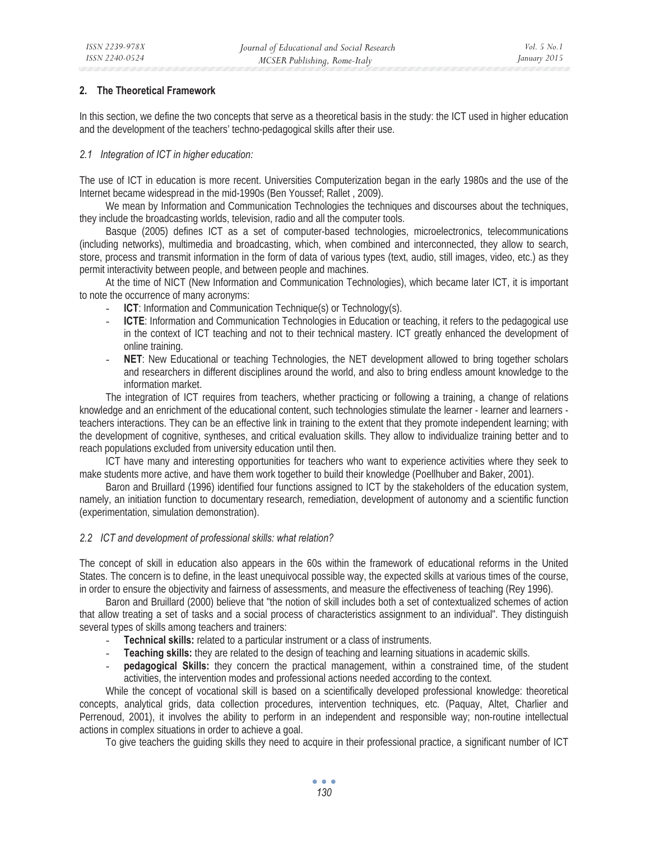## **2. The Theoretical Framework**

In this section, we define the two concepts that serve as a theoretical basis in the study: the ICT used in higher education and the development of the teachers' techno-pedagogical skills after their use.

## *2.1 Integration of ICT in higher education:*

The use of ICT in education is more recent. Universities Computerization began in the early 1980s and the use of the Internet became widespread in the mid-1990s (Ben Youssef; Rallet , 2009).

We mean by Information and Communication Technologies the techniques and discourses about the techniques, they include the broadcasting worlds, television, radio and all the computer tools.

Basque (2005) defines ICT as a set of computer-based technologies, microelectronics, telecommunications (including networks), multimedia and broadcasting, which, when combined and interconnected, they allow to search, store, process and transmit information in the form of data of various types (text, audio, still images, video, etc.) as they permit interactivity between people, and between people and machines.

At the time of NICT (New Information and Communication Technologies), which became later ICT, it is important to note the occurrence of many acronyms:

- **ICT**: Information and Communication Technique(s) or Technology(s).
- **ICTE**: Information and Communication Technologies in Education or teaching, it refers to the pedagogical use in the context of ICT teaching and not to their technical mastery. ICT greatly enhanced the development of online training.
- **NET:** New Educational or teaching Technologies, the NET development allowed to bring together scholars and researchers in different disciplines around the world, and also to bring endless amount knowledge to the information market.

The integration of ICT requires from teachers, whether practicing or following a training, a change of relations knowledge and an enrichment of the educational content, such technologies stimulate the learner - learner and learners teachers interactions. They can be an effective link in training to the extent that they promote independent learning; with the development of cognitive, syntheses, and critical evaluation skills. They allow to individualize training better and to reach populations excluded from university education until then.

ICT have many and interesting opportunities for teachers who want to experience activities where they seek to make students more active, and have them work together to build their knowledge (Poellhuber and Baker, 2001).

Baron and Bruillard (1996) identified four functions assigned to ICT by the stakeholders of the education system, namely, an initiation function to documentary research, remediation, development of autonomy and a scientific function (experimentation, simulation demonstration).

#### *2.2 ICT and development of professional skills: what relation?*

The concept of skill in education also appears in the 60s within the framework of educational reforms in the United States. The concern is to define, in the least unequivocal possible way, the expected skills at various times of the course, in order to ensure the objectivity and fairness of assessments, and measure the effectiveness of teaching (Rey 1996).

Baron and Bruillard (2000) believe that "the notion of skill includes both a set of contextualized schemes of action that allow treating a set of tasks and a social process of characteristics assignment to an individual". They distinguish several types of skills among teachers and trainers:

- **Technical skills:** related to a particular instrument or a class of instruments.
- **Teaching skills:** they are related to the design of teaching and learning situations in academic skills.
- pedagogical Skills: they concern the practical management, within a constrained time, of the student activities, the intervention modes and professional actions needed according to the context.

While the concept of vocational skill is based on a scientifically developed professional knowledge: theoretical concepts, analytical grids, data collection procedures, intervention techniques, etc. (Paquay, Altet, Charlier and Perrenoud, 2001), it involves the ability to perform in an independent and responsible way; non-routine intellectual actions in complex situations in order to achieve a goal.

To give teachers the guiding skills they need to acquire in their professional practice, a significant number of ICT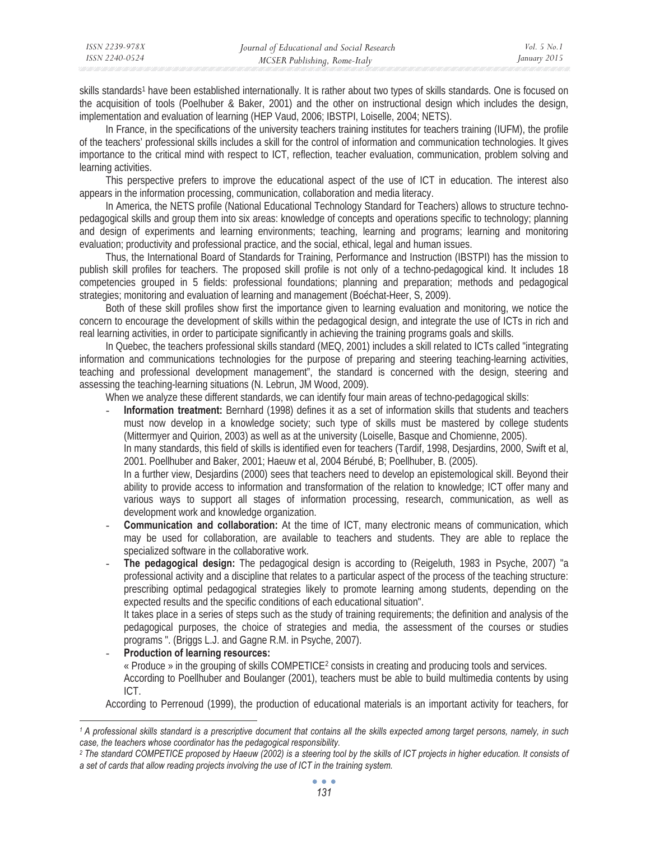| ISSN 2239-978X | Journal of Educational and Social Research | <i>Vol.</i> 5 No. 1 |
|----------------|--------------------------------------------|---------------------|
| ISSN 2240-0524 | MCSER Publishing, Rome-Italy               | January 2015        |

skills standards<sup>1</sup> have been established internationally. It is rather about two types of skills standards. One is focused on the acquisition of tools (Poelhuber & Baker, 2001) and the other on instructional design which includes the design, implementation and evaluation of learning (HEP Vaud, 2006; IBSTPI, Loiselle, 2004; NETS).

In France, in the specifications of the university teachers training institutes for teachers training (IUFM), the profile of the teachers' professional skills includes a skill for the control of information and communication technologies. It gives importance to the critical mind with respect to ICT, reflection, teacher evaluation, communication, problem solving and learning activities.

This perspective prefers to improve the educational aspect of the use of ICT in education. The interest also appears in the information processing, communication, collaboration and media literacy.

In America, the NETS profile (National Educational Technology Standard for Teachers) allows to structure technopedagogical skills and group them into six areas: knowledge of concepts and operations specific to technology; planning and design of experiments and learning environments; teaching, learning and programs; learning and monitoring evaluation; productivity and professional practice, and the social, ethical, legal and human issues.

Thus, the International Board of Standards for Training, Performance and Instruction (IBSTPI) has the mission to publish skill profiles for teachers. The proposed skill profile is not only of a techno-pedagogical kind. It includes 18 competencies grouped in 5 fields: professional foundations; planning and preparation; methods and pedagogical strategies; monitoring and evaluation of learning and management (Boéchat-Heer, S, 2009).

Both of these skill profiles show first the importance given to learning evaluation and monitoring, we notice the concern to encourage the development of skills within the pedagogical design, and integrate the use of ICTs in rich and real learning activities, in order to participate significantly in achieving the training programs goals and skills.

In Quebec, the teachers professional skills standard (MEQ, 2001) includes a skill related to ICTs called "integrating information and communications technologies for the purpose of preparing and steering teaching-learning activities, teaching and professional development management", the standard is concerned with the design, steering and assessing the teaching-learning situations (N. Lebrun, JM Wood, 2009).

When we analyze these different standards, we can identify four main areas of techno-pedagogical skills:

- **Information treatment:** Bernhard (1998) defines it as a set of information skills that students and teachers must now develop in a knowledge society; such type of skills must be mastered by college students (Mittermyer and Quirion, 2003) as well as at the university (Loiselle, Basque and Chomienne, 2005).

In many standards, this field of skills is identified even for teachers (Tardif, 1998, Desjardins, 2000, Swift et al, 2001. Poellhuber and Baker, 2001; Haeuw et al, 2004 Bérubé, B; Poellhuber, B. (2005).

In a further view, Desjardins (2000) sees that teachers need to develop an epistemological skill. Beyond their ability to provide access to information and transformation of the relation to knowledge; ICT offer many and various ways to support all stages of information processing, research, communication, as well as development work and knowledge organization.

- **Communication and collaboration:** At the time of ICT, many electronic means of communication, which may be used for collaboration, are available to teachers and students. They are able to replace the specialized software in the collaborative work.
- **The pedagogical design:** The pedagogical design is according to (Reigeluth, 1983 in Psyche, 2007) "a professional activity and a discipline that relates to a particular aspect of the process of the teaching structure: prescribing optimal pedagogical strategies likely to promote learning among students, depending on the expected results and the specific conditions of each educational situation".

It takes place in a series of steps such as the study of training requirements; the definition and analysis of the pedagogical purposes, the choice of strategies and media, the assessment of the courses or studies programs ". (Briggs L.J. and Gagne R.M. in Psyche, 2007).

- **Production of learning resources:** « Produce » in the grouping of skills COMPETICE2 consists in creating and producing tools and services. According to Poellhuber and Boulanger (2001), teachers must be able to build multimedia contents by using ICT.

According to Perrenoud (1999), the production of educational materials is an important activity for teachers, for

*<sup>1</sup> A professional skills standard is a prescriptive document that contains all the skills expected among target persons, namely, in such case, the teachers whose coordinator has the pedagogical responsibility.* 

<sup>&</sup>lt;sup>2</sup> The standard COMPETICE proposed by Haeuw (2002) is a steering tool by the skills of ICT projects in higher education. It consists of *a set of cards that allow reading projects involving the use of ICT in the training system.*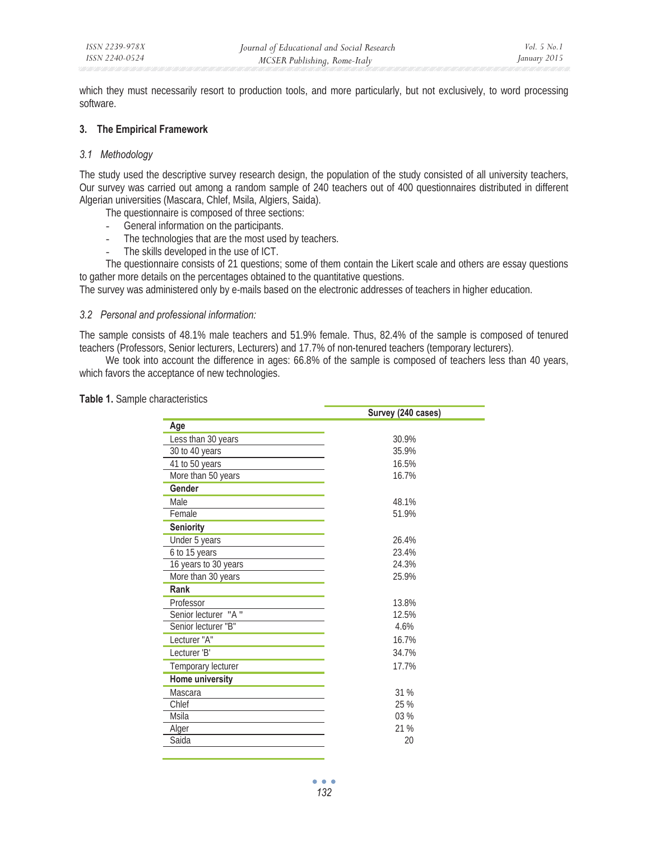which they must necessarily resort to production tools, and more particularly, but not exclusively, to word processing software.

## **3. The Empirical Framework**

## *3.1 Methodology*

The study used the descriptive survey research design, the population of the study consisted of all university teachers, Our survey was carried out among a random sample of 240 teachers out of 400 questionnaires distributed in different Algerian universities (Mascara, Chlef, Msila, Algiers, Saida).

The questionnaire is composed of three sections:

- General information on the participants.
- The technologies that are the most used by teachers.
- The skills developed in the use of ICT.

The questionnaire consists of 21 questions; some of them contain the Likert scale and others are essay questions to gather more details on the percentages obtained to the quantitative questions.

The survey was administered only by e-mails based on the electronic addresses of teachers in higher education.

#### *3.2 Personal and professional information:*

The sample consists of 48.1% male teachers and 51.9% female. Thus, 82.4% of the sample is composed of tenured teachers (Professors, Senior lecturers, Lecturers) and 17.7% of non-tenured teachers (temporary lecturers).

We took into account the difference in ages: 66.8% of the sample is composed of teachers less than 40 years, which favors the acceptance of new technologies.

**Table 1.** Sample characteristics

|                      | Survey (240 cases) |
|----------------------|--------------------|
| Age                  |                    |
| Less than 30 years   | 30.9%              |
| 30 to 40 years       | 35.9%              |
| 41 to 50 years       | 16.5%              |
| More than 50 years   | 16.7%              |
| Gender               |                    |
| Male                 | 48.1%              |
| Female               | 51.9%              |
| <b>Seniority</b>     |                    |
| Under 5 years        | 26.4%              |
| 6 to 15 years        | 23.4%              |
| 16 years to 30 years | 24.3%              |
| More than 30 years   | 25.9%              |
| Rank                 |                    |
| Professor            | 13.8%              |
| Senior lecturer "A"  | 12.5%              |
| Senior lecturer "B"  | 4.6%               |
| Lecturer "A"         | 16.7%              |
| Lecturer 'B'         | 34.7%              |
| Temporary lecturer   | 17.7%              |
| Home university      |                    |
| Mascara              | 31 %               |
| Chlef                | 25 %               |
| Msila                | 03%                |
| Alger                | 21 %               |
| Saida                | 20                 |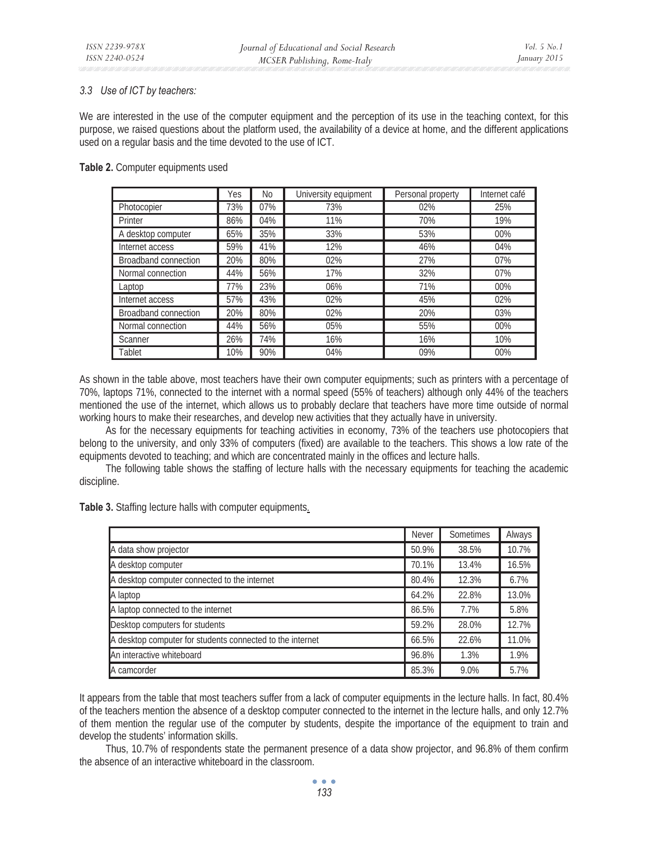## *3.3 Use of ICT by teachers:*

We are interested in the use of the computer equipment and the perception of its use in the teaching context, for this purpose, we raised questions about the platform used, the availability of a device at home, and the different applications used on a regular basis and the time devoted to the use of ICT.

## **Table 2.** Computer equipments used

|                             | Yes | No  | University equipment | Personal property | Internet café |
|-----------------------------|-----|-----|----------------------|-------------------|---------------|
| Photocopier                 | 73% | 07% | 73%                  | 02%               | 25%           |
| Printer                     | 86% | 04% | 11%                  | 70%               | 19%           |
| A desktop computer          | 65% | 35% | 33%                  | 53%               | 00%           |
| Internet access             | 59% | 41% | 12%                  | 46%               | 04%           |
| <b>Broadband connection</b> | 20% | 80% | 02%                  | 27%               | 07%           |
| Normal connection           | 44% | 56% | 17%                  | 32%               | 07%           |
| Laptop                      | 77% | 23% | 06%                  | 71%               | 00%           |
| Internet access             | 57% | 43% | 02%                  | 45%               | 02%           |
| <b>Broadband connection</b> | 20% | 80% | 02%                  | 20%               | 03%           |
| Normal connection           | 44% | 56% | 05%                  | 55%               | 00%           |
| <b>Scanner</b>              | 26% | 74% | 16%                  | 16%               | 10%           |
| Tablet                      | 10% | 90% | 04%                  | 09%               | 00%           |

As shown in the table above, most teachers have their own computer equipments; such as printers with a percentage of 70%, laptops 71%, connected to the internet with a normal speed (55% of teachers) although only 44% of the teachers mentioned the use of the internet, which allows us to probably declare that teachers have more time outside of normal working hours to make their researches, and develop new activities that they actually have in university.

As for the necessary equipments for teaching activities in economy, 73% of the teachers use photocopiers that belong to the university, and only 33% of computers (fixed) are available to the teachers. This shows a low rate of the equipments devoted to teaching; and which are concentrated mainly in the offices and lecture halls.

The following table shows the staffing of lecture halls with the necessary equipments for teaching the academic discipline.

**Table 3.** Staffing lecture halls with computer equipments*.* 

|                                                           | <b>Never</b> | <b>Sometimes</b> | Always |
|-----------------------------------------------------------|--------------|------------------|--------|
| A data show projector                                     | 50.9%        | 38.5%            | 10.7%  |
| A desktop computer                                        | 70.1%        | 13.4%            | 16.5%  |
| A desktop computer connected to the internet              | 80.4%        | 12.3%            | 6.7%   |
| A laptop                                                  | 64.2%        | 22.8%            | 13.0%  |
| A laptop connected to the internet                        | 86.5%        | 7.7%             | 5.8%   |
| Desktop computers for students                            | 59.2%        | 28.0%            | 12.7%  |
| A desktop computer for students connected to the internet | 66.5%        | 22.6%            | 11.0%  |
| An interactive whiteboard                                 | 96.8%        | 1.3%             | 1.9%   |
| A camcorder                                               | 85.3%        | 9.0%             | 5.7%   |

It appears from the table that most teachers suffer from a lack of computer equipments in the lecture halls. In fact, 80.4% of the teachers mention the absence of a desktop computer connected to the internet in the lecture halls, and only 12.7% of them mention the regular use of the computer by students, despite the importance of the equipment to train and develop the students' information skills.

Thus, 10.7% of respondents state the permanent presence of a data show projector, and 96.8% of them confirm the absence of an interactive whiteboard in the classroom.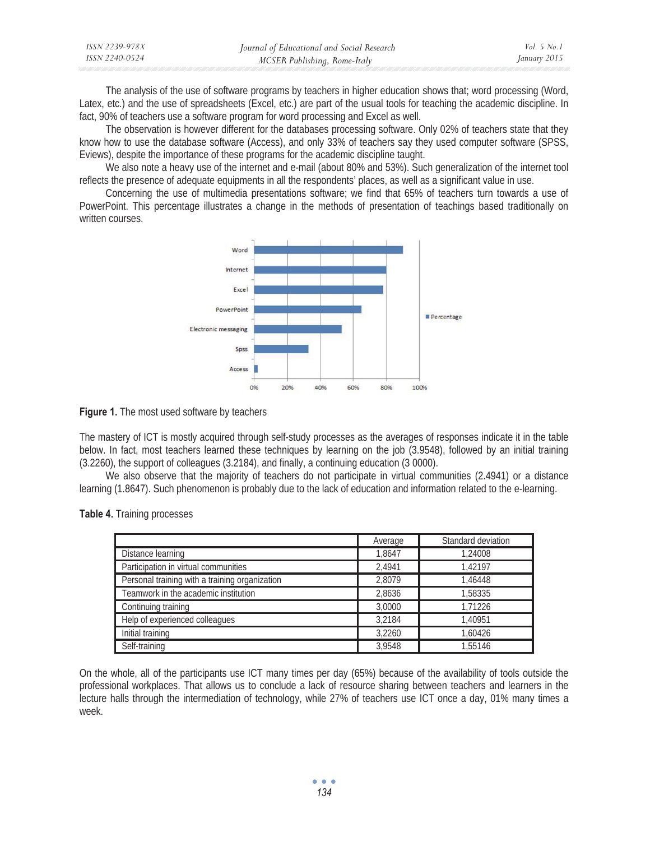| ISSN 2239-978X | Journal of Educational and Social Research | <i>Vol.</i> 5 $No.1$ |
|----------------|--------------------------------------------|----------------------|
| ISSN 2240-0524 | MCSER Publishing, Rome-Italy               | January 2015         |

The analysis of the use of software programs by teachers in higher education shows that; word processing (Word, Latex, etc.) and the use of spreadsheets (Excel, etc.) are part of the usual tools for teaching the academic discipline. In fact, 90% of teachers use a software program for word processing and Excel as well.

The observation is however different for the databases processing software. Only 02% of teachers state that they know how to use the database software (Access), and only 33% of teachers say they used computer software (SPSS, Eviews), despite the importance of these programs for the academic discipline taught.

We also note a heavy use of the internet and e-mail (about 80% and 53%). Such generalization of the internet tool reflects the presence of adequate equipments in all the respondents' places, as well as a significant value in use.

Concerning the use of multimedia presentations software; we find that 65% of teachers turn towards a use of PowerPoint. This percentage illustrates a change in the methods of presentation of teachings based traditionally on written courses





The mastery of ICT is mostly acquired through self-study processes as the averages of responses indicate it in the table below. In fact, most teachers learned these techniques by learning on the job (3.9548), followed by an initial training (3.2260), the support of colleagues (3.2184), and finally, a continuing education (3 0000).

We also observe that the majority of teachers do not participate in virtual communities (2.4941) or a distance learning (1.8647). Such phenomenon is probably due to the lack of education and information related to the e-learning.

|  |  | Table 4. Training processes |
|--|--|-----------------------------|
|--|--|-----------------------------|

|                                                | Average | Standard deviation |
|------------------------------------------------|---------|--------------------|
| Distance learning                              | 1.8647  | 1,24008            |
| Participation in virtual communities           | 2.4941  | 1.42197            |
| Personal training with a training organization | 2.8079  | 1.46448            |
| Teamwork in the academic institution           | 2.8636  | 1,58335            |
| Continuing training                            | 3,0000  | 1.71226            |
| Help of experienced colleagues                 | 3.2184  | 1.40951            |
| Initial training                               | 3.2260  | 1.60426            |
| Self-training                                  | 3.9548  | 1,55146            |

On the whole, all of the participants use ICT many times per day (65%) because of the availability of tools outside the professional workplaces. That allows us to conclude a lack of resource sharing between teachers and learners in the lecture halls through the intermediation of technology, while 27% of teachers use ICT once a day, 01% many times a week.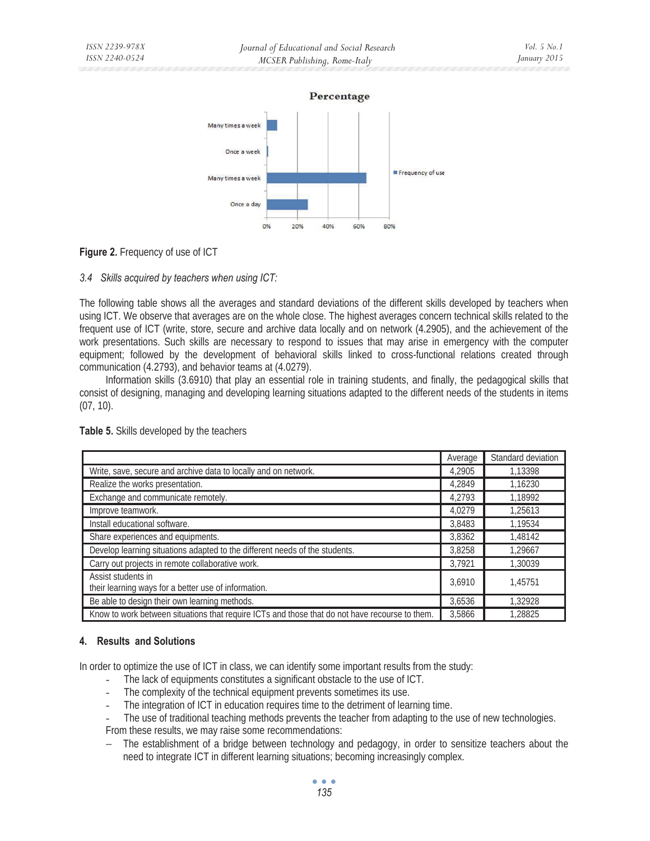



## **Figure 2.** Frequency of use of ICT

#### *3.4 Skills acquired by teachers when using ICT:*

The following table shows all the averages and standard deviations of the different skills developed by teachers when using ICT. We observe that averages are on the whole close. The highest averages concern technical skills related to the frequent use of ICT (write, store, secure and archive data locally and on network (4.2905), and the achievement of the work presentations. Such skills are necessary to respond to issues that may arise in emergency with the computer equipment; followed by the development of behavioral skills linked to cross-functional relations created through communication (4.2793), and behavior teams at (4.0279).

Information skills (3.6910) that play an essential role in training students, and finally, the pedagogical skills that consist of designing, managing and developing learning situations adapted to the different needs of the students in items (07, 10).

|                                                                                                | Average | Standard deviation |
|------------------------------------------------------------------------------------------------|---------|--------------------|
| Write, save, secure and archive data to locally and on network.                                | 4.2905  | 1.13398            |
| Realize the works presentation.                                                                | 4.2849  | 1.16230            |
| Exchange and communicate remotely.                                                             | 4.2793  | 1.18992            |
| Improve teamwork.                                                                              | 4.0279  | 1,25613            |
| Install educational software.                                                                  | 3.8483  | 1,19534            |
| Share experiences and equipments.                                                              | 3,8362  | 1.48142            |
| Develop learning situations adapted to the different needs of the students.                    | 3,8258  | 1,29667            |
| Carry out projects in remote collaborative work.                                               | 3.7921  | 1,30039            |
| Assist students in<br>their learning ways for a better use of information.                     | 3,6910  | 1.45751            |
| Be able to design their own learning methods.                                                  | 3,6536  | 1,32928            |
| Know to work between situations that require ICTs and those that do not have recourse to them. | 3.5866  | 1.28825            |

**Table 5.** Skills developed by the teachers

#### **4. Results and Solutions**

In order to optimize the use of ICT in class, we can identify some important results from the study:

- The lack of equipments constitutes a significant obstacle to the use of ICT.
- The complexity of the technical equipment prevents sometimes its use.
- The integration of ICT in education requires time to the detriment of learning time.
- The use of traditional teaching methods prevents the teacher from adapting to the use of new technologies. From these results, we may raise some recommendations:
- − The establishment of a bridge between technology and pedagogy, in order to sensitize teachers about the need to integrate ICT in different learning situations; becoming increasingly complex.